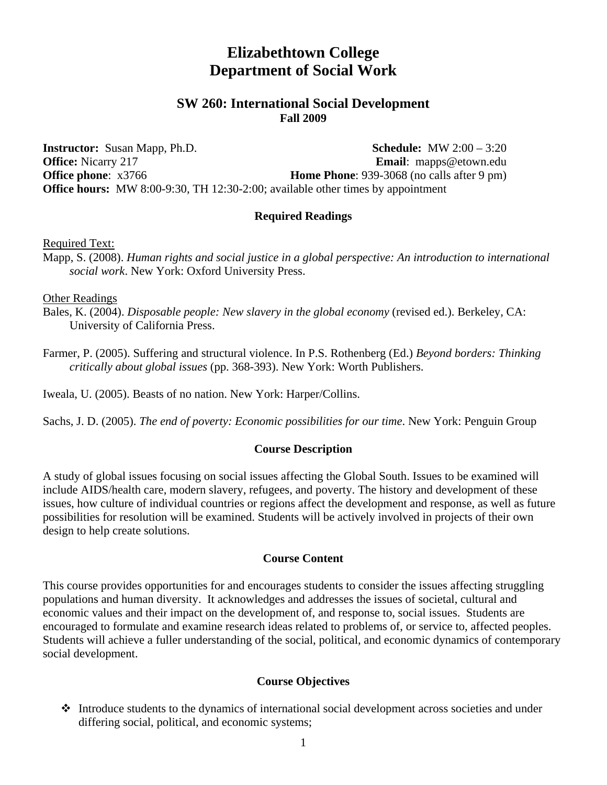# **Elizabethtown College Department of Social Work**

# **SW 260: International Social Development Fall 2009**

**Instructor:** Susan Mapp, Ph.D. **Schedule:** MW 2:00 – 3:20 **Office:** Nicarry 217 **Email**: mapps@etown.edu **Office phone**: x3766 **Home Phone**: 939-3068 (no calls after 9 pm) **Office hours:** MW 8:00-9:30, TH 12:30-2:00; available other times by appointment

### **Required Readings**

Required Text:

Mapp, S. (2008). *Human rights and social justice in a global perspective: An introduction to international social work*. New York: Oxford University Press.

Other Readings

Bales, K. (2004). *Disposable people: New slavery in the global economy* (revised ed.). Berkeley, CA: University of California Press.

Farmer, P. (2005). Suffering and structural violence. In P.S. Rothenberg (Ed.) *Beyond borders: Thinking critically about global issues* (pp. 368-393). New York: Worth Publishers.

Iweala, U. (2005). Beasts of no nation. New York: Harper/Collins.

Sachs, J. D. (2005). *The end of poverty: Economic possibilities for our time*. New York: Penguin Group

### **Course Description**

A study of global issues focusing on social issues affecting the Global South. Issues to be examined will include AIDS/health care, modern slavery, refugees, and poverty. The history and development of these issues, how culture of individual countries or regions affect the development and response, as well as future possibilities for resolution will be examined. Students will be actively involved in projects of their own design to help create solutions.

#### **Course Content**

This course provides opportunities for and encourages students to consider the issues affecting struggling populations and human diversity. It acknowledges and addresses the issues of societal, cultural and economic values and their impact on the development of, and response to, social issues. Students are encouraged to formulate and examine research ideas related to problems of, or service to, affected peoples. Students will achieve a fuller understanding of the social, political, and economic dynamics of contemporary social development.

### **Course Objectives**

 Introduce students to the dynamics of international social development across societies and under differing social, political, and economic systems;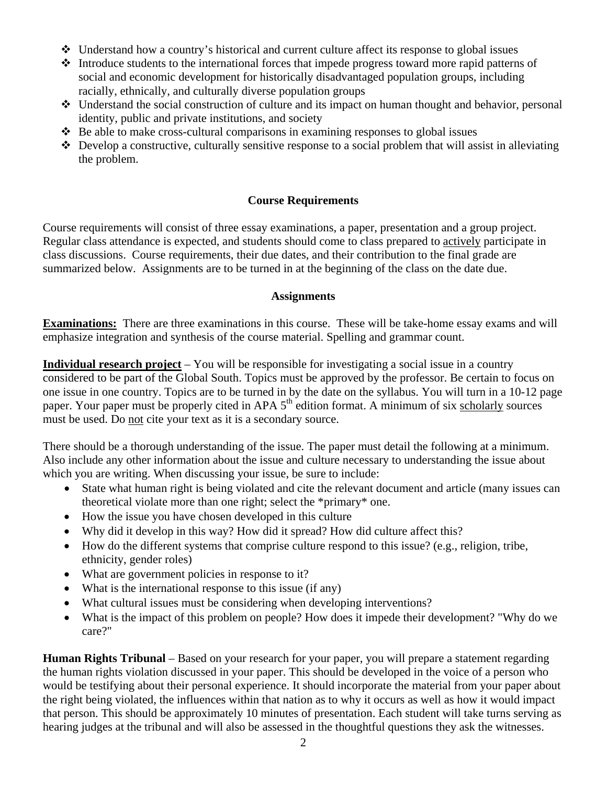- $\triangleleft$  Understand how a country's historical and current culture affect its response to global issues
- $\triangle$  Introduce students to the international forces that impede progress toward more rapid patterns of social and economic development for historically disadvantaged population groups, including racially, ethnically, and culturally diverse population groups
- $\cdot$  Understand the social construction of culture and its impact on human thought and behavior, personal identity, public and private institutions, and society
- $\triangle$  Be able to make cross-cultural comparisons in examining responses to global issues
- $\bullet$  Develop a constructive, culturally sensitive response to a social problem that will assist in alleviating the problem.

# **Course Requirements**

Course requirements will consist of three essay examinations, a paper, presentation and a group project. Regular class attendance is expected, and students should come to class prepared to actively participate in class discussions. Course requirements, their due dates, and their contribution to the final grade are summarized below. Assignments are to be turned in at the beginning of the class on the date due.

### **Assignments**

**Examinations:** There are three examinations in this course. These will be take-home essay exams and will emphasize integration and synthesis of the course material. Spelling and grammar count.

**Individual research project** – You will be responsible for investigating a social issue in a country considered to be part of the Global South. Topics must be approved by the professor. Be certain to focus on one issue in one country. Topics are to be turned in by the date on the syllabus. You will turn in a 10-12 page paper. Your paper must be properly cited in APA  $5<sup>th</sup>$  edition format. A minimum of six scholarly sources must be used. Do not cite your text as it is a secondary source.

There should be a thorough understanding of the issue. The paper must detail the following at a minimum. Also include any other information about the issue and culture necessary to understanding the issue about which you are writing. When discussing your issue, be sure to include:

- State what human right is being violated and cite the relevant document and article (many issues can theoretical violate more than one right; select the \*primary\* one.
- How the issue you have chosen developed in this culture
- Why did it develop in this way? How did it spread? How did culture affect this?
- How do the different systems that comprise culture respond to this issue? (e.g., religion, tribe, ethnicity, gender roles)
- What are government policies in response to it?
- What is the international response to this issue (if any)
- What cultural issues must be considering when developing interventions?
- What is the impact of this problem on people? How does it impede their development? "Why do we care?"

**Human Rights Tribunal** – Based on your research for your paper, you will prepare a statement regarding the human rights violation discussed in your paper. This should be developed in the voice of a person who would be testifying about their personal experience. It should incorporate the material from your paper about the right being violated, the influences within that nation as to why it occurs as well as how it would impact that person. This should be approximately 10 minutes of presentation. Each student will take turns serving as hearing judges at the tribunal and will also be assessed in the thoughtful questions they ask the witnesses.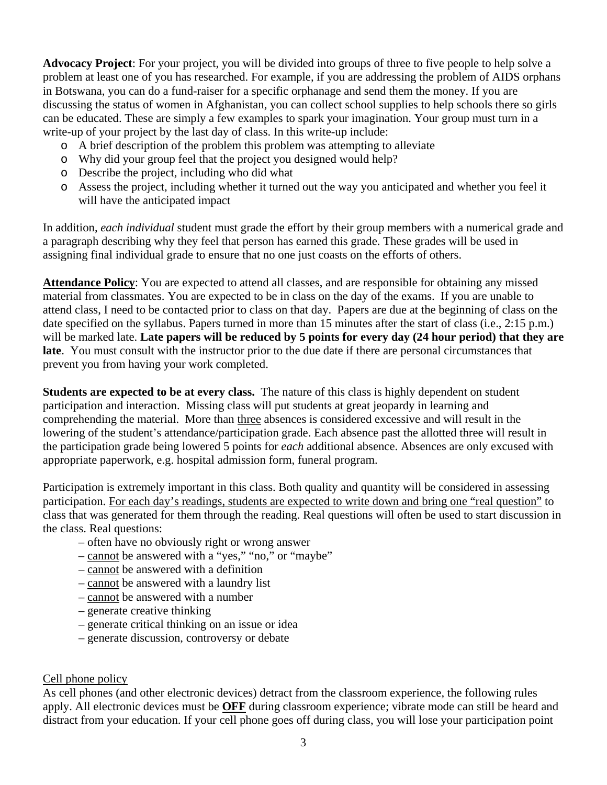**Advocacy Project**: For your project, you will be divided into groups of three to five people to help solve a problem at least one of you has researched. For example, if you are addressing the problem of AIDS orphans in Botswana, you can do a fund-raiser for a specific orphanage and send them the money. If you are discussing the status of women in Afghanistan, you can collect school supplies to help schools there so girls can be educated. These are simply a few examples to spark your imagination. Your group must turn in a write-up of your project by the last day of class. In this write-up include:

- o A brief description of the problem this problem was attempting to alleviate
- o Why did your group feel that the project you designed would help?
- o Describe the project, including who did what
- o Assess the project, including whether it turned out the way you anticipated and whether you feel it will have the anticipated impact

In addition, *each individual* student must grade the effort by their group members with a numerical grade and a paragraph describing why they feel that person has earned this grade. These grades will be used in assigning final individual grade to ensure that no one just coasts on the efforts of others.

**Attendance Policy**: You are expected to attend all classes, and are responsible for obtaining any missed material from classmates. You are expected to be in class on the day of the exams. If you are unable to attend class, I need to be contacted prior to class on that day. Papers are due at the beginning of class on the date specified on the syllabus. Papers turned in more than 15 minutes after the start of class (i.e., 2:15 p.m.) will be marked late. **Late papers will be reduced by 5 points for every day (24 hour period) that they are late**. You must consult with the instructor prior to the due date if there are personal circumstances that prevent you from having your work completed.

**Students are expected to be at every class.** The nature of this class is highly dependent on student participation and interaction. Missing class will put students at great jeopardy in learning and comprehending the material. More than three absences is considered excessive and will result in the lowering of the student's attendance/participation grade. Each absence past the allotted three will result in the participation grade being lowered 5 points for *each* additional absence. Absences are only excused with appropriate paperwork, e.g. hospital admission form, funeral program.

Participation is extremely important in this class. Both quality and quantity will be considered in assessing participation. For each day's readings, students are expected to write down and bring one "real question" to class that was generated for them through the reading. Real questions will often be used to start discussion in the class. Real questions:

- often have no obviously right or wrong answer
- cannot be answered with a "yes," "no," or "maybe"
- cannot be answered with a definition
- cannot be answered with a laundry list
- cannot be answered with a number
- generate creative thinking
- generate critical thinking on an issue or idea
- generate discussion, controversy or debate

### Cell phone policy

As cell phones (and other electronic devices) detract from the classroom experience, the following rules apply. All electronic devices must be **OFF** during classroom experience; vibrate mode can still be heard and distract from your education. If your cell phone goes off during class, you will lose your participation point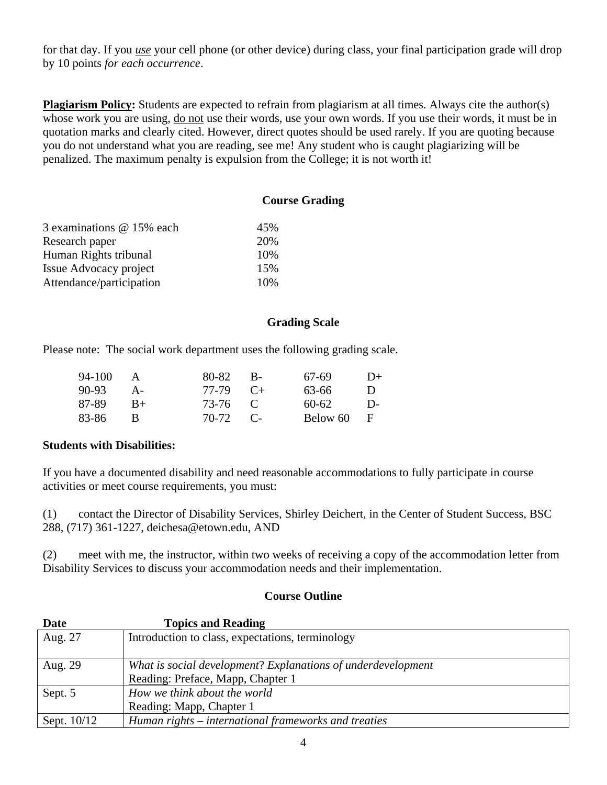for that day. If you *use* your cell phone (or other device) during class, your final participation grade will drop by 10 points *for each occurrence*.

**Plagiarism Policy:** Students are expected to refrain from plagiarism at all times. Always cite the author(s) whose work you are using, do not use their words, use your own words. If you use their words, it must be in quotation marks and clearly cited. However, direct quotes should be used rarely. If you are quoting because you do not understand what you are reading, see me! Any student who is caught plagiarizing will be penalized. The maximum penalty is expulsion from the College; it is not worth it!

# **Course Grading**

| 3 examinations @ 15% each | 45% |
|---------------------------|-----|
| Research paper            | 20% |
| Human Rights tribunal     | 10% |
| Issue Advocacy project    | 15% |
| Attendance/participation  | 10% |

### **Grading Scale**

Please note: The social work department uses the following grading scale.

| 94-100 | $\mathbf{A}$ | 80-82           | $_{\rm B}$ R | 67-69    | $D+$         |
|--------|--------------|-----------------|--------------|----------|--------------|
| 90-93  | $A -$        | $77-79$ $C_{+}$ |              | 63-66    | $\mathbf{D}$ |
| 87-89  | $B+$         | 73-76 C         |              | 60-62    | $\mathsf{D}$ |
| 83-86  |              | $70-72$ C       |              | Below 60 | - F          |

### **Students with Disabilities:**

If you have a documented disability and need reasonable accommodations to fully participate in course activities or meet course requirements, you must:

(1) contact the Director of Disability Services, Shirley Deichert, in the Center of Student Success, BSC 288, (717) 361-1227, deichesa@etown.edu, AND

(2) meet with me, the instructor, within two weeks of receiving a copy of the accommodation letter from Disability Services to discuss your accommodation needs and their implementation.

#### **Course Outline**

| Date        | <b>Topics and Reading</b>                                    |
|-------------|--------------------------------------------------------------|
| Aug. 27     | Introduction to class, expectations, terminology             |
| Aug. 29     | What is social development? Explanations of underdevelopment |
|             | Reading: Preface, Mapp, Chapter 1                            |
| Sept. 5     | How we think about the world                                 |
|             | Reading: Mapp, Chapter 1                                     |
| Sept. 10/12 | Human rights – international frameworks and treaties         |